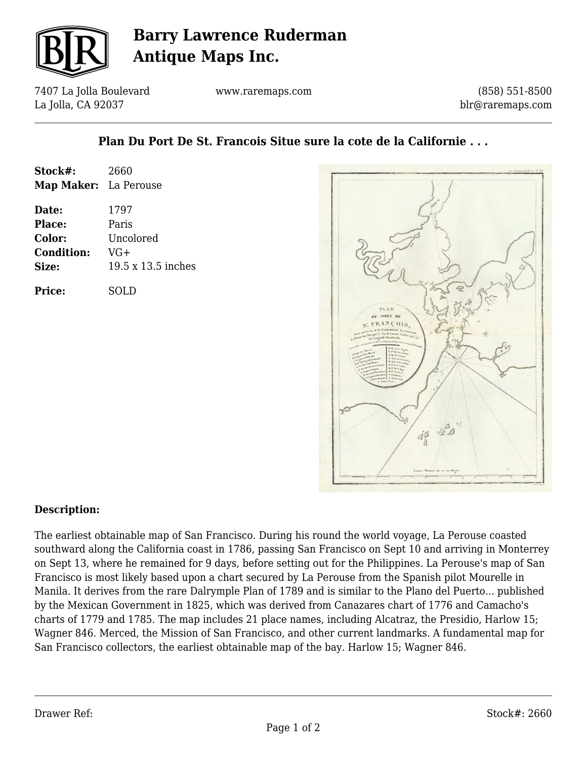

## **Barry Lawrence Ruderman Antique Maps Inc.**

7407 La Jolla Boulevard La Jolla, CA 92037

www.raremaps.com

(858) 551-8500 blr@raremaps.com

## **Plan Du Port De St. Francois Situe sure la cote de la Californie . . .**

| Stock#:               | 2660               |
|-----------------------|--------------------|
| Map Maker: La Perouse |                    |
| Date:                 | 1797               |
| <b>Place:</b>         | Paris              |
| Color:                | Uncolored          |
| <b>Condition:</b>     | VG+                |
| Size:                 | 19.5 x 13.5 inches |
| <b>Price:</b>         | SOLD               |



## **Description:**

The earliest obtainable map of San Francisco. During his round the world voyage, La Perouse coasted southward along the California coast in 1786, passing San Francisco on Sept 10 and arriving in Monterrey on Sept 13, where he remained for 9 days, before setting out for the Philippines. La Perouse's map of San Francisco is most likely based upon a chart secured by La Perouse from the Spanish pilot Mourelle in Manila. It derives from the rare Dalrymple Plan of 1789 and is similar to the Plano del Puerto... published by the Mexican Government in 1825, which was derived from Canazares chart of 1776 and Camacho's charts of 1779 and 1785. The map includes 21 place names, including Alcatraz, the Presidio, Harlow 15; Wagner 846. Merced, the Mission of San Francisco, and other current landmarks. A fundamental map for San Francisco collectors, the earliest obtainable map of the bay. Harlow 15; Wagner 846.